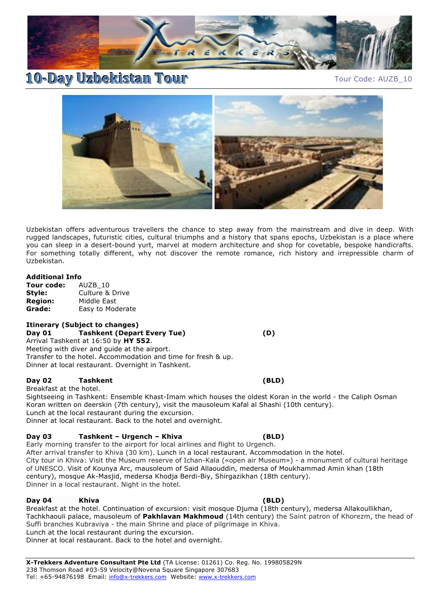

# **10-Day Uzbekistan Tour** Tour Tour Tour Code: AUZB\_10



Uzbekistan offers adventurous travellers the chance to step away from the mainstream and dive in deep. With rugged landscapes, futuristic cities, cultural triumphs and a history that spans epochs, Uzbekistan is a place where you can sleep in a desert-bound yurt, marvel at modern architecture and shop for covetable, bespoke handicrafts. For something totally different, why not discover the remote romance, rich history and irrepressible charm of Uzbekistan.

# **Additional Info**

**Tour code:** AUZB\_10 **Style:** Culture & Drive **Region:** Middle East **Grade:** Easy to Moderate

## **Itinerary (Subject to changes)**

**Day 01 Tashkent (Depart Every Tue) (D)** Arrival Tashkent at 16:50 by **HY 552**. Meeting with diver and guide at the airport. Transfer to the hotel. Accommodation and time for fresh & up. Dinner at local restaurant. Overnight in Tashkent.

## **Day 02 Tashkent (BLD)**

Breakfast at the hotel.

Sightseeing in Tashkent: Ensemble Khast-Imam which houses the oldest Koran in the world - the Caliph Osman Koran written on deerskin (7th century), visit the mausoleum Kafal al Shashi (10th century). Lunch at the local restaurant during the excursion. Dinner at local restaurant. Back to the hotel and overnight.

# **Day 03 Tashkent – Urgench – Khiva (BLD)**

Early morning transfer to the airport for local airlines and flight to Urgench. After arrival transfer to Khiva (30 km). Lunch in a local restaurant. Accommodation in the hotel. City tour in Khiva: Visit the Museum reserve of Ichan-Kala («open air Museum») - a monument of cultural heritage of UNESCO. Visit of Kounya Arc, mausoleum of Said Allaouddin, medersa of Moukhammad Amin khan (18th century), mosque Ak-Masjid, medersa Khodja Berdi-Biy, Shirgazikhan (18th century). Dinner in a local restaurant. Night in the hotel.

## **Day 04 Khiva (BLD)**

Breakfast at the hotel. Continuation of excursion: visit mosque Djuma (18th century), medersa Allakoullikhan, Tachkhaouli palace, mausoleum of **Pakhlavan Makhmoud** (14th century) the Saint patron of Khorezm, the head of Suffi branches Kubraviya - the main Shrine and place of pilgrimage in Khiva. Lunch at the local restaurant during the excursion. Dinner at local restaurant. Back to the hotel and overnight.

**X-Trekkers Adventure Consultant Pte Ltd** (TA License: 01261) Co. Reg. No. 199805829N 238 Thomson Road #03-59 Velocity@Novena Square Singapore 307683 Tel: +65-94876198 Email: info@x-trekkers.com Website: www.x-trekkers.com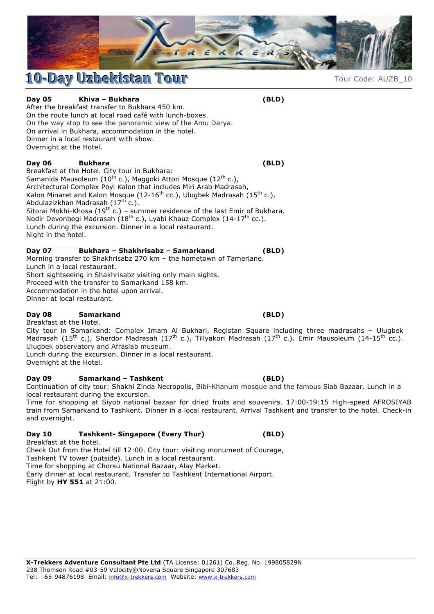

# **10-Day Uzbekistan Tour** Tourr Tour Code: AUZB\_10

**Day 05 Khiva – Bukhara (BLD)**

After the breakfast transfer to Bukhara 450 km. On the route lunch at local road café with lunch-boxes. On the way stop to see the panoramic view of the Amu Darya. On arrival in Bukhara, accommodation in the hotel. Dinner in a local restaurant with show. Overnight at the Hotel.

# **Day 06 Bukhara (BLD)**

Breakfast at the Hotel. City tour in Bukhara: Samanids Mausoleum (10<sup>th</sup> c.), Maggoki Attori Mosque (12<sup>th</sup> c.), Architectural Complex Poyi Kalon that includes Miri Arab Madrasah, Kalon Minaret and Kalon Mosque (12-16<sup>th</sup> cc.), Ulugbek Madrasah (15<sup>th</sup> c.), Abdulazizkhan Madrasah (17<sup>th</sup> c.). Sitorai Mokhi-Khosa (19<sup>th</sup> c.) – summer residence of the last Emir of Bukhara. Nodir Devonbegi Madrasah (18<sup>th</sup> c.), Lyabi Khauz Complex (14-17<sup>th</sup> cc.). Lunch during the excursion. Dinner in a local restaurant. Night in the hotel.

# **Day 07 Bukhara – Shakhrisabz – Samarkand (BLD)**

Morning transfer to Shakhrisabz 270 km – the hometown of Tamerlane. Lunch in a local restaurant. Short sightseeing in Shakhrisabz visiting only main sights. Proceed with the transfer to Samarkand 158 km. Accommodation in the hotel upon arrival. Dinner at local restaurant.

# **Day 08 Samarkand (BLD)**

Breakfast at the Hotel. City tour in Samarkand: Complex Imam Al Bukhari, Registan Square including three madrasahs – Ulugbek Madrasah (15<sup>th</sup> c.), Sherdor Madrasah (17<sup>th</sup> c.), Tillyakori Madrasah (17<sup>th</sup> c.). Emir Mausoleum (14-15<sup>th</sup> cc.). Ulugbek observatory and Afrasiab museum.

Lunch during the excursion. Dinner in a local restaurant. Overnight at the Hotel.

# **Day 09 Samarkand – Tashkent (BLD)**

Continuation of city tour: Shakhi Zinda Necropolis, Bibi-Khanum mosque and the famous Siab Bazaar. Lunch in a local restaurant during the excursion.

Time for shopping at Siyob national bazaar for dried fruits and souvenirs. 17:00-19:15 High-speed AFROSIYAB train from Samarkand to Tashkent. Dinner in a local restaurant. Arrival Tashkent and transfer to the hotel. Check-in and overnight.

# **Day 10 Tashkent- Singapore (Every Thur) (BLD)**

Breakfast at the hotel. Check Out from the Hotel till 12:00. City tour: visiting monument of Courage, Tashkent TV tower (outside). Lunch in a local restaurant. Time for shopping at Chorsu National Bazaar, Alay Market. Early dinner at local restaurant. Transfer to Tashkent International Airport. Flight by **HY 551** at 21:00.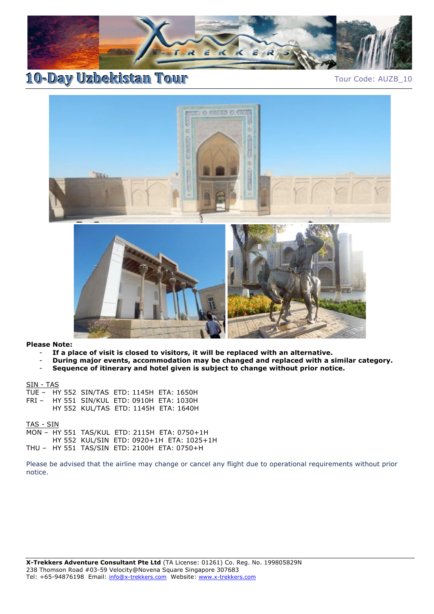

**10-Day Uzbekistan Tour** Tour Tour Tour Code: AUZB\_10



### **Please Note:**

- If a place of visit is closed to visitors, it will be replaced with an alternative.
- **During major events, accommodation may be changed and replaced with a similar category.**
- **Sequence of itinerary and hotel given is subject to change without prior notice.**

SIN - TAS

|  | TUE - HY 552 SIN/TAS ETD: 1145H ETA: 1650H |                                      |
|--|--------------------------------------------|--------------------------------------|
|  | FRI - HY 551 SIN/KUL ETD: 0910H ETA: 1030H |                                      |
|  |                                            | HY 552 KUL/TAS ETD: 1145H ETA: 1640H |

TAS - SIN

MON – HY 551 TAS/KUL ETD: 2115H ETA: 0750+1H HY 552 KUL/SIN ETD: 0920+1H ETA: 1025+1H THU – HY 551 TAS/SIN ETD: 2100H ETA: 0750+H

Please be advised that the airline may change or cancel any flight due to operational requirements without prior notice.